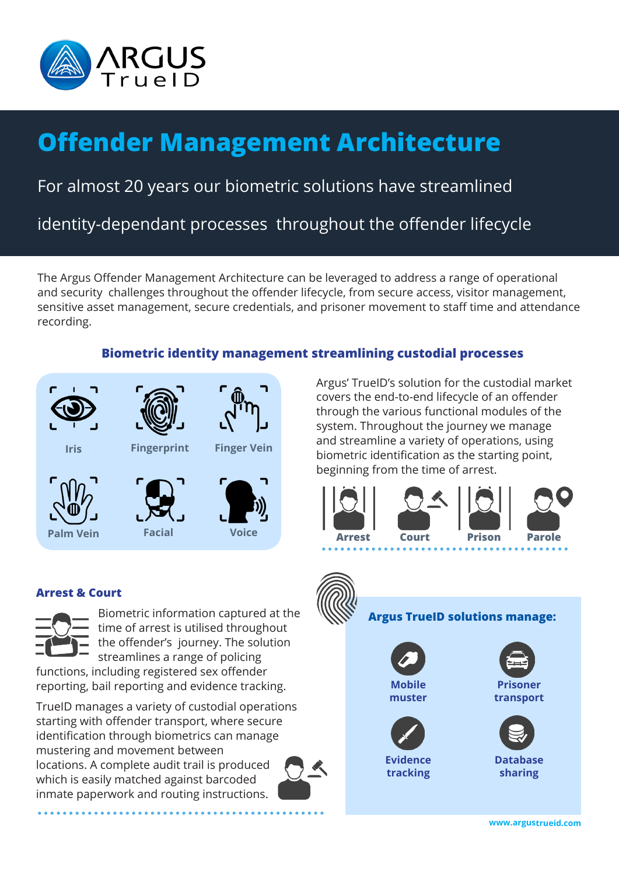

# **Offender Management Architecture**

## For almost 20 years our biometric solutions have streamlined

identity-dependant processes throughout the offender lifecycle

The Argus Offender Management Architecture can be leveraged to address a range of operational and security challenges throughout the offender lifecycle, from secure access, visitor management, sensitive asset management, secure credentials, and prisoner movement to staff time and attendance recording.

### **Biometric identity management streamlining custodial processes**



Argus' TrueID's solution for the custodial market covers the end-to-end lifecycle of an offender through the various functional modules of the system. Throughout the journey we manage and streamline a variety of operations, using biometric identification as the starting point, beginning from the time of arrest.



#### **Arrest & Court**



Biometric information captured at the time of arrest is utilised throughout the offender's journey. The solution streamlines a range of policing

functions, including registered sex offender reporting, bail reporting and evidence tracking.

TrueID manages a variety of custodial operations starting with offender transport, where secure identification through biometrics can manage mustering and movement between locations. A complete audit trail is produced which is easily matched against barcoded inmate paperwork and routing instructions.



**Mobile muster Prisoner transport Argus TrueID solutions manage: Evidence tracking Database sharing**